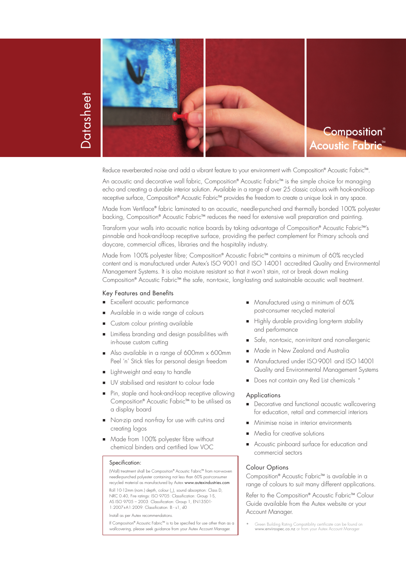

# Datasheet **Datasheet**

**Composition®** Acoustic Fabric<sup>\*</sup>

Reduce reverberated noise and add a vibrant feature to your environment with Composition® Acoustic Fabric™.

An acoustic and decorative wall tabric, Composition® Acoustic Fabric™ is the simple choice tor managing echo and creating a durable interior solution. Available in a range of over 25 classic colours with hook-and-loop receptive surtace, Composition® Acoustic Fabric™ provides the treedom to create a unique look in any space.

Made from Vertiface® fabric laminated to an acoustic, needle-punched and thermally bonded 100% polyester backing, Composition® Acoustic Fabric™ reduces the need for extensive wall preparation and painting.

Transform your walls into acoustic notice boards by taking advantage of Composition® Acoustic Fabric™'s pinnable and hook-and-loop receptive surface, providing the perfect complement for Primary schools and daycare, commercial offices, libraries and the hospitality industry.

Made trom 100% polyester tibre; Composition® Acoustic Fabric™ contains a minimum ot 60% recycled . content and is manufactured under Autex's ISO 9001 and ISO 14001 accredited Quality and Environmental Management Systems. It is also moisture resistant so that it won't stain, rot or break down making Composition® Acoustic FabricTM the safe, non-toxic, long-lasting and sustainable acoustic wall treatment.

## Key Features and Benefits

- **Excellent acoustic performance**
- Available in a wide range of colours
- Custom colour printing available
- Limitless branding and design possibilities with in-house custom cutting
- Also available in a range of 600mm x 600mm Peel 'n' Stick tiles for personal design freedom
- **Light-weight and easy to handle**
- UV stabilised and resistant to colour fade
- Pin, staple and hook-and-loop receptive allowing Composition® Acoustic FabricTM to be utilised as a display board
- Non-zip and non-fray for use with cut-ins and creating logos
- Made from 100% polyester fibre without chemical binders and certified low VOC

#### Specification:

(Wall) treatment shall be Composition® Acoustic Fabric™ from non-woven needle-punched polyester containing not less than 60% post-consume recycled material as manufactured by Autex www.autexindustries.com Roll 10-12mm (nom.) depth, colour (\_), sound absorption: Class D, NRC 0.40, Fire ratings: ISO 9705: Classification: Group 1-S, AS ISO 9705 – 2003: Classification: Group 1, EN13501- 1:2007+A1:2009: Classification: B - s1, d0

Install as per Autex recommendations.

If Composition® Acoustic FabricTM is to be specified for use other than as a wallcovering, please seek guidance from your Autex Account Manager.

- **Manufactured using a minimum of 60%** post-consumer recycled material
- Highly durable providing long-term stability and performance
- Safe, non-toxic, non-irritant and non-allergenic
- Made in New Zealand and Australia
- Manufactured under ISO 9001 and ISO 14001 Quality and Environmental Management Systems
- Does not contain any Red List chemicals \*

#### **Applications**

- Decorative and functional acoustic wallcovering for education, retail and commercial interiors
- Minimise noise in interior environments
- Media for creative solutions
- Acoustic pinboard surface for education and commercial sectors

## Colour Options

Composition® Acoustic Fabric™ is available in a range of colours to suit many different applications.

Refer to the Composition® Acoustic Fabric™ Colour Guide available from the Autex website or your Account Manager.

\* Green Building Rating Compatibility certificate can be found on www.envirospec.co.nz or from your Autex Account Manager